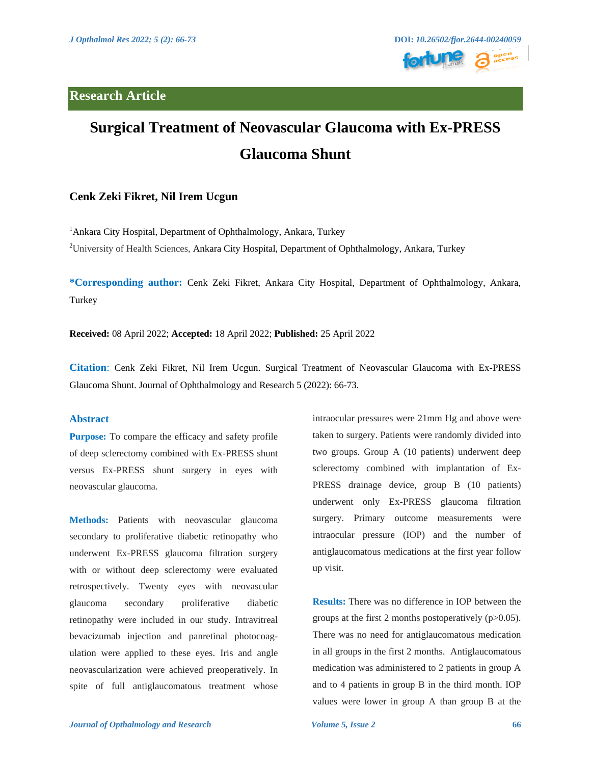

# **Surgical Treatment of Neovascular Glaucoma with Ex-PRESS Glaucoma Shunt**

# **Cenk Zeki Fikret, Nil Irem Ucgun**

<sup>1</sup>Ankara City Hospital, Department of Ophthalmology, Ankara, Turkey <sup>2</sup>University of Health Sciences, Ankara City Hospital, Department of Ophthalmology, Ankara, Turkey

**\*Corresponding author:** Cenk Zeki Fikret, Ankara City Hospital, Department of Ophthalmology, Ankara, Turkey

**Received:** 08 April 2022; **Accepted:** 18 April 2022; **Published:** 25 April 2022

**Citation**: Cenk Zeki Fikret, Nil Irem Ucgun. Surgical Treatment of Neovascular Glaucoma with Ex-PRESS Glaucoma Shunt. Journal of Ophthalmology and Research 5 (2022): 66-73.

# **Abstract**

**Purpose:** To compare the efficacy and safety profile of deep sclerectomy combined with Ex-PRESS shunt versus Ex-PRESS shunt surgery in eyes with neovascular glaucoma.

**Methods:** Patients with neovascular glaucoma secondary to proliferative diabetic retinopathy who underwent Ex-PRESS glaucoma filtration surgery with or without deep sclerectomy were evaluated retrospectively. Twenty eyes with neovascular glaucoma secondary proliferative diabetic retinopathy were included in our study. Intravitreal bevacizumab injection and panretinal photocoagulation were applied to these eyes. Iris and angle neovascularization were achieved preoperatively. In spite of full antiglaucomatous treatment whose intraocular pressures were 21mm Hg and above were taken to surgery. Patients were randomly divided into two groups. Group A (10 patients) underwent deep sclerectomy combined with implantation of Ex-PRESS drainage device, group B (10 patients) underwent only Ex-PRESS glaucoma filtration surgery. Primary outcome measurements were intraocular pressure (IOP) and the number of antiglaucomatous medications at the first year follow up visit.

**Results:** There was no difference in IOP between the groups at the first 2 months postoperatively  $(p>0.05)$ . There was no need for antiglaucomatous medication in all groups in the first 2 months. Antiglaucomatous medication was administered to 2 patients in group A and to 4 patients in group B in the third month. IOP values were lower in group A than group B at the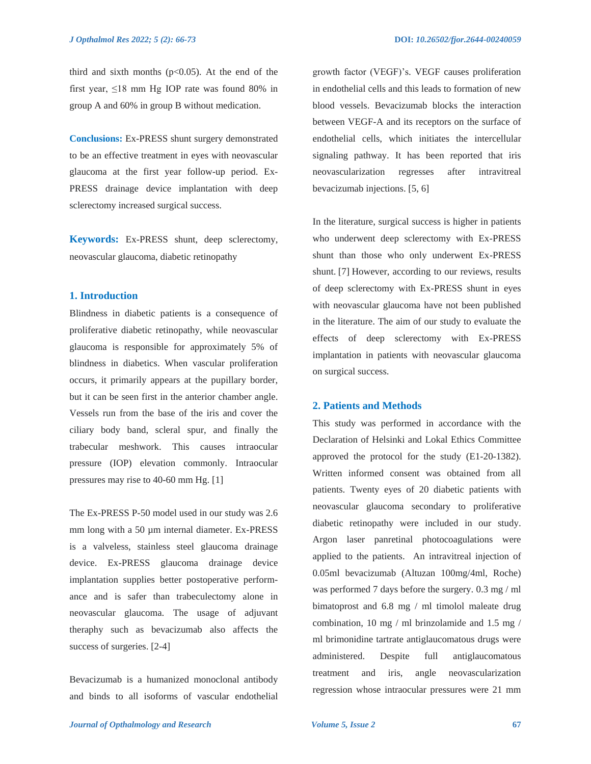third and sixth months  $(p<0.05)$ . At the end of the first year,  $\leq 18$  mm Hg IOP rate was found 80% in group A and 60% in group B without medication.

**Conclusions:** Ex-PRESS shunt surgery demonstrated to be an effective treatment in eyes with neovascular glaucoma at the first year follow-up period. Ex-PRESS drainage device implantation with deep sclerectomy increased surgical success.

**Keywords:** Ex-PRESS shunt, deep sclerectomy, neovascular glaucoma, diabetic retinopathy

## **1. Introduction**

Blindness in diabetic patients is a consequence of proliferative diabetic retinopathy, while neovascular glaucoma is responsible for approximately 5% of blindness in diabetics. When vascular proliferation occurs, it primarily appears at the pupillary border, but it can be seen first in the anterior chamber angle. Vessels run from the base of the iris and cover the ciliary body band, scleral spur, and finally the trabecular meshwork. This causes intraocular pressure (IOP) elevation commonly. Intraocular pressures may rise to 40-60 mm Hg. [1]

The Ex-PRESS P-50 model used in our study was 2.6 mm long with a 50 µm internal diameter. Ex-PRESS is a valveless, stainless steel glaucoma drainage device. Ex-PRESS glaucoma drainage device implantation supplies better postoperative performance and is safer than trabeculectomy alone in neovascular glaucoma. The usage of adjuvant theraphy such as bevacizumab also affects the success of surgeries. [2-4]

Bevacizumab is a humanized monoclonal antibody and binds to all isoforms of vascular endothelial growth factor (VEGF)'s. VEGF causes proliferation in endothelial cells and this leads to formation of new blood vessels. Bevacizumab blocks the interaction between VEGF-A and its receptors on the surface of endothelial cells, which initiates the intercellular signaling pathway. It has been reported that iris neovascularization regresses after intravitreal bevacizumab injections. [5, 6]

In the literature, surgical success is higher in patients who underwent deep sclerectomy with Ex-PRESS shunt than those who only underwent Ex-PRESS shunt. [7] However, according to our reviews, results of deep sclerectomy with Ex-PRESS shunt in eyes with neovascular glaucoma have not been published in the literature. The aim of our study to evaluate the effects of deep sclerectomy with Ex-PRESS implantation in patients with neovascular glaucoma on surgical success.

#### **2. Patients and Methods**

This study was performed in accordance with the Declaration of Helsinki and Lokal Ethics Committee approved the protocol for the study (E1-20-1382). Written informed consent was obtained from all patients. Twenty eyes of 20 diabetic patients with neovascular glaucoma secondary to proliferative diabetic retinopathy were included in our study. Argon laser panretinal photocoagulations were applied to the patients. An intravitreal injection of 0.05ml bevacizumab (Altuzan 100mg/4ml, Roche) was performed 7 days before the surgery. 0.3 mg / ml bimatoprost and 6.8 mg / ml timolol maleate drug combination, 10 mg / ml brinzolamide and 1.5 mg / ml brimonidine tartrate antiglaucomatous drugs were administered. Despite full antiglaucomatous treatment and iris, angle neovascularization regression whose intraocular pressures were 21 mm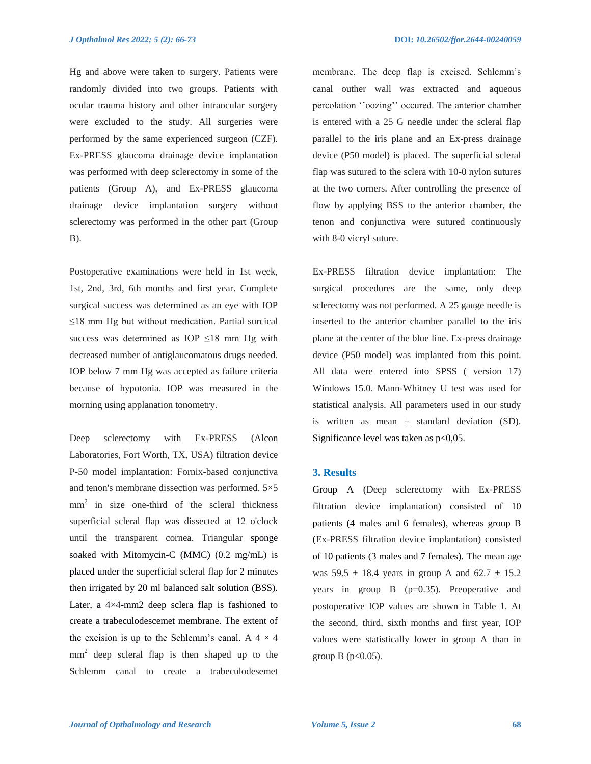Hg and above were taken to surgery. Patients were randomly divided into two groups. Patients with ocular trauma history and other intraocular surgery were excluded to the study. All surgeries were performed by the same experienced surgeon (CZF). Ex-PRESS glaucoma drainage device implantation was performed with deep sclerectomy in some of the patients (Group A), and Ex-PRESS glaucoma drainage device implantation surgery without sclerectomy was performed in the other part (Group B).

Postoperative examinations were held in 1st week, 1st, 2nd, 3rd, 6th months and first year. Complete surgical success was determined as an eye with IOP ≤18 mm Hg but without medication. Partial surcical success was determined as IOP ≤18 mm Hg with decreased number of antiglaucomatous drugs needed. IOP below 7 mm Hg was accepted as failure criteria because of hypotonia. IOP was measured in the morning using applanation tonometry.

Deep sclerectomy with Ex-PRESS (Alcon Laboratories, Fort Worth, TX, USA) filtration device P-50 model implantation: Fornix-based conjunctiva and tenon's membrane dissection was performed. 5×5 mm<sup>2</sup> in size one-third of the scleral thickness superficial scleral flap was dissected at 12 o'clock until the transparent cornea. Triangular sponge soaked with Mitomycin-C (MMC) (0.2 mg/mL) is placed under the superficial scleral flap for 2 minutes then irrigated by 20 ml balanced salt solution (BSS). Later, a 4×4-mm2 deep sclera flap is fashioned to create a trabeculodescemet membrane. The extent of the excision is up to the Schlemm's canal. A  $4 \times 4$ mm<sup>2</sup> deep scleral flap is then shaped up to the Schlemm canal to create a trabeculodesemet

membrane. The deep flap is excised. Schlemm's canal outher wall was extracted and aqueous percolation ''oozing'' occured. The anterior chamber is entered with a 25 G needle under the scleral flap parallel to the iris plane and an Ex-press drainage device (P50 model) is placed. The superficial scleral flap was sutured to the sclera with 10-0 nylon sutures at the two corners. After controlling the presence of flow by applying BSS to the anterior chamber, the tenon and conjunctiva were sutured continuously with 8-0 vicryl suture.

Ex-PRESS filtration device implantation: The surgical procedures are the same, only deep sclerectomy was not performed. A 25 gauge needle is inserted to the anterior chamber parallel to the iris plane at the center of the blue line. Ex-press drainage device (P50 model) was implanted from this point. All data were entered into SPSS ( version 17) Windows 15.0. Mann-Whitney U test was used for statistical analysis. All parameters used in our study is written as mean  $\pm$  standard deviation (SD). Significance level was taken as  $p<0.05$ .

### **3. Results**

Group A (Deep sclerectomy with Ex-PRESS filtration device implantation) consisted of 10 patients (4 males and 6 females), whereas group B (Ex-PRESS filtration device implantation) consisted of 10 patients (3 males and 7 females). The mean age was  $59.5 \pm 18.4$  years in group A and  $62.7 \pm 15.2$ years in group  $B$  ( $p=0.35$ ). Preoperative and postoperative IOP values are shown in Table 1. At the second, third, sixth months and first year, IOP values were statistically lower in group A than in group  $B$  (p<0.05).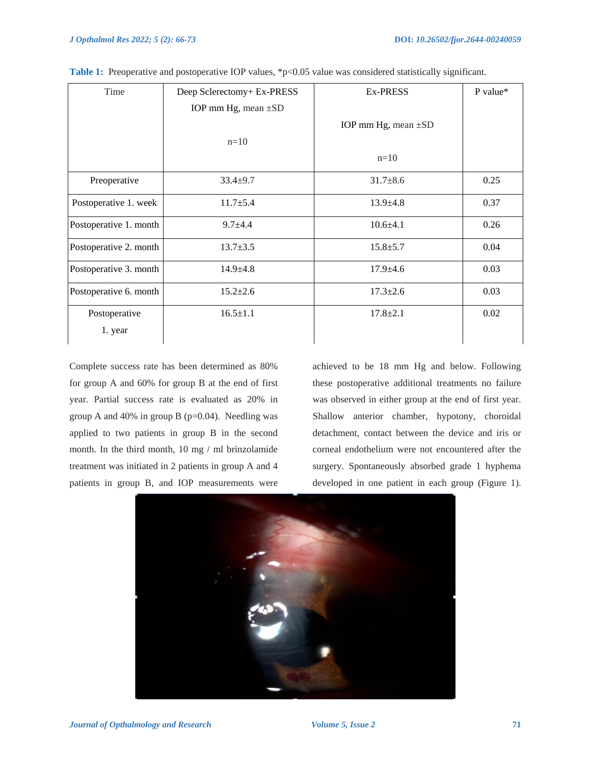| Time                   | Deep Sclerectomy+ Ex-PRESS | <b>Ex-PRESS</b>          | P value* |
|------------------------|----------------------------|--------------------------|----------|
|                        | IOP mm Hg, mean ±SD        |                          |          |
|                        |                            | IOP mm Hg, mean $\pm SD$ |          |
|                        | $n=10$                     |                          |          |
|                        |                            | $n=10$                   |          |
| Preoperative           | $33.4 \pm 9.7$             | $31.7 \pm 8.6$           | 0.25     |
| Postoperative 1. week  | $11.7 \pm 5.4$             | $13.9 \pm 4.8$           | 0.37     |
| Postoperative 1. month | $9.7 + 4.4$                | $10.6 + 4.1$             | 0.26     |
| Postoperative 2. month | $13.7 \pm 3.5$             | $15.8 \pm 5.7$           | 0.04     |
| Postoperative 3. month | $14.9 \pm 4.8$             | $17.9 \pm 4.6$           | 0.03     |
| Postoperative 6. month | $15.2 \pm 2.6$             | $17.3 \pm 2.6$           | 0.03     |
| Postoperative          | $16.5 \pm 1.1$             | $17.8 \pm 2.1$           | 0.02     |
| 1. year                |                            |                          |          |

|  |  |  |  | Table 1: Preoperative and postoperative IOP values, *p<0.05 value was considered statistically significant. |  |
|--|--|--|--|-------------------------------------------------------------------------------------------------------------|--|
|--|--|--|--|-------------------------------------------------------------------------------------------------------------|--|

Complete success rate has been determined as 80% for group A and 60% for group B at the end of first year. Partial success rate is evaluated as 20% in group A and 40% in group B ( $p=0.04$ ). Needling was applied to two patients in group B in the second month. In the third month, 10 mg / ml brinzolamide treatment was initiated in 2 patients in group A and 4 patients in group B, and IOP measurements were

achieved to be 18 mm Hg and below. Following these postoperative additional treatments no failure was observed in either group at the end of first year. Shallow anterior chamber, hypotony, choroidal detachment, contact between the device and iris or corneal endothelium were not encountered after the surgery. Spontaneously absorbed grade 1 hyphema developed in one patient in each group (Figure 1).

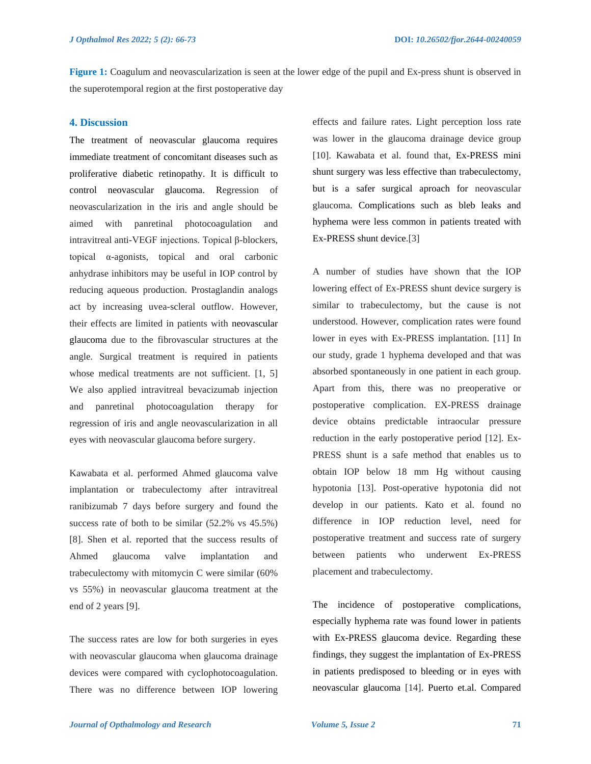**Figure 1:** Coagulum and neovascularization is seen at the lower edge of the pupil and Ex-press shunt is observed in the superotemporal region at the first postoperative day

## **4. Discussion**

The treatment of neovascular glaucoma requires immediate treatment of concomitant diseases such as proliferative diabetic retinopathy. It is difficult to control neovascular glaucoma. Regression of neovascularization in the iris and angle should be aimed with panretinal photocoagulation and intravitreal anti-VEGF injections. Topical β-blockers, topical α-agonists, topical and oral carbonic anhydrase inhibitors may be useful in IOP control by reducing aqueous production. Prostaglandin analogs act by increasing uvea-scleral outflow. However, their effects are limited in patients with neovascular glaucoma due to the fibrovascular structures at the angle. Surgical treatment is required in patients whose medical treatments are not sufficient. [1, 5] We also applied intravitreal bevacizumab injection and panretinal photocoagulation therapy for regression of iris and angle neovascularization in all eyes with neovascular glaucoma before surgery.

Kawabata et al. performed Ahmed glaucoma valve implantation or trabeculectomy after intravitreal ranibizumab 7 days before surgery and found the success rate of both to be similar (52.2% vs 45.5%) [8]. Shen et al. reported that the success results of Ahmed glaucoma valve implantation and trabeculectomy with mitomycin C were similar (60% vs 55%) in neovascular glaucoma treatment at the end of 2 years [9].

The success rates are low for both surgeries in eyes with neovascular glaucoma when glaucoma drainage devices were compared with cyclophotocoagulation. There was no difference between IOP lowering effects and failure rates. Light perception loss rate was lower in the glaucoma drainage device group [10]. Kawabata et al. found that, Ex-PRESS mini shunt surgery was less effective than trabeculectomy, but is a safer surgical aproach for neovascular glaucoma. Complications such as bleb leaks and hyphema were less common in patients treated with Ex-PRESS shunt device.[3]

A number of studies have shown that the IOP lowering effect of Ex-PRESS shunt device surgery is similar to trabeculectomy, but the cause is not understood. However, complication rates were found lower in eyes with Ex-PRESS implantation. [11] In our study, grade 1 hyphema developed and that was absorbed spontaneously in one patient in each group. Apart from this, there was no preoperative or postoperative complication. EX-PRESS drainage device obtains predictable intraocular pressure reduction in the early postoperative period [12]. Ex-PRESS shunt is a safe method that enables us to obtain IOP below 18 mm Hg without causing hypotonia [13]. Post-operative hypotonia did not develop in our patients. Kato et al. found no difference in IOP reduction level, need for postoperative treatment and success rate of surgery between patients who underwent Ex-PRESS placement and trabeculectomy.

The incidence of postoperative complications, especially hyphema rate was found lower in patients with Ex-PRESS glaucoma device. Regarding these findings, they suggest the implantation of Ex-PRESS in patients predisposed to bleeding or in eyes with neovascular glaucoma [14]. Puerto et.al. Compared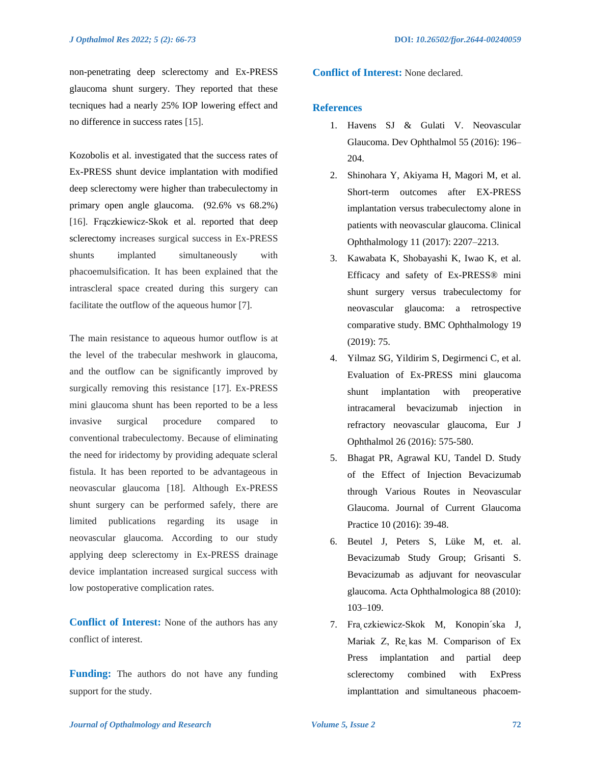non-penetrating deep sclerectomy and Ex-PRESS glaucoma shunt surgery. They reported that these tecniques had a nearly 25% IOP lowering effect and no difference in success rates [15].

Kozobolis et al. investigated that the success rates of Ex-PRESS shunt device implantation with modified deep sclerectomy were higher than trabeculectomy in primary open angle glaucoma. (92.6% vs 68.2%) [16]. Frączkiewicz-Skok et al. reported that deep sclerectomy increases surgical success in Ex-PRESS shunts implanted simultaneously with phacoemulsification. It has been explained that the intrascleral space created during this surgery can facilitate the outflow of the aqueous humor [7].

The main resistance to aqueous humor outflow is at the level of the trabecular meshwork in glaucoma, and the outflow can be significantly improved by surgically removing this resistance [17]. Ex-PRESS mini glaucoma shunt has been reported to be a less invasive surgical procedure compared to conventional trabeculectomy. Because of eliminating the need for iridectomy by providing adequate scleral fistula. It has been reported to be advantageous in neovascular glaucoma [18]. Although Ex-PRESS shunt surgery can be performed safely, there are limited publications regarding its usage in neovascular glaucoma. According to our study applying deep sclerectomy in Ex-PRESS drainage device implantation increased surgical success with low postoperative complication rates.

**Conflict of Interest:** None of the authors has any conflict of interest.

**Funding:** The authors do not have any funding support for the study.

**Conflict of Interest:** None declared.

## **References**

- 1. Havens SJ & Gulati V. Neovascular Glaucoma. Dev Ophthalmol 55 (2016): 196– 204.
- 2. Shinohara Y, Akiyama H, Magori M, et al. Short-term outcomes after EX-PRESS implantation versus trabeculectomy alone in patients with neovascular glaucoma. Clinical Ophthalmology 11 (2017): 2207–2213.
- 3. Kawabata K, Shobayashi K, Iwao K, et al. Efficacy and safety of Ex-PRESS® mini shunt surgery versus trabeculectomy for neovascular glaucoma: a retrospective comparative study. BMC Ophthalmology 19 (2019): 75.
- 4. Yilmaz SG, Yildirim S, Degirmenci C, et al. Evaluation of Ex-PRESS mini glaucoma shunt implantation with preoperative intracameral bevacizumab injection in refractory neovascular glaucoma, Eur J Ophthalmol 26 (2016): 575-580.
- 5. Bhagat PR, Agrawal KU, Tandel D. Study of the Effect of Injection Bevacizumab through Various Routes in Neovascular Glaucoma. Journal of Current Glaucoma Practice 10 (2016): 39-48.
- 6. Beutel J, Peters S, Lüke M, et. al. Bevacizumab Study Group; Grisanti S. Bevacizumab as adjuvant for neovascular glaucoma. Acta Ophthalmologica 88 (2010): 103–109.
- 7. Fra czkiewicz-Skok M, Konopin´ska J, Mariak Z,  $Re_\zeta$ kas M. Comparison of Ex Press implantation and partial deep sclerectomy combined with ExPress implanttation and simultaneous phacoem-